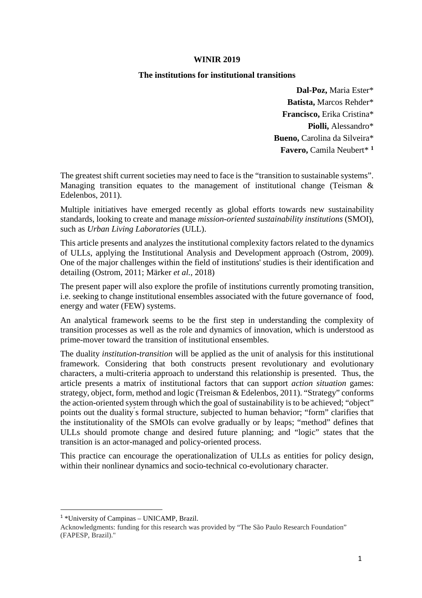#### **WINIR 2019**

#### **The institutions for institutional transitions**

**Dal-Poz,** Maria Ester\* **Batista,** Marcos Rehder\* **Francisco,** Erika Cristina\* **Piolli,** Alessandro\* **Bueno,** Carolina da Silveira\* **Favero,** Camila Neubert\* **<sup>1</sup>**

The greatest shift current societies may need to face is the "transition to sustainable systems". Managing transition equates to the management of institutional change (Teisman & Edelenbos, 2011).

Multiple initiatives have emerged recently as global efforts towards new sustainability standards, looking to create and manage *mission-oriented sustainability institutions* (SMOI), such as *Urban Living Laboratories* (ULL).

This article presents and analyzes the institutional complexity factors related to the dynamics of ULLs, applying the Institutional Analysis and Development approach (Ostrom, 2009). One of the major challenges within the field of institutions' studies is their identification and detailing (Ostrom, 2011; Märker *et al.*, 2018)

The present paper will also explore the profile of institutions currently promoting transition, i.e. seeking to change institutional ensembles associated with the future governance of food, energy and water (FEW) systems.

An analytical framework seems to be the first step in understanding the complexity of transition processes as well as the role and dynamics of innovation, which is understood as prime-mover toward the transition of institutional ensembles.

The duality *institution-transition* will be applied as the unit of analysis for this institutional framework. Considering that both constructs present revolutionary and evolutionary characters, a multi-criteria approach to understand this relationship is presented. Thus, the article presents a matrix of institutional factors that can support *action situation* games: strategy, object, form, method and logic (Treisman & Edelenbos, 2011). "Strategy" conforms the action-oriented system through which the goal of sustainability is to be achieved; "object" points out the duality ́s formal structure, subjected to human behavior; "form" clarifies that the institutionality of the SMOIs can evolve gradually or by leaps; "method" defines that ULLs should promote change and desired future planning; and "logic" states that the transition is an actor-managed and policy-oriented process.

This practice can encourage the operationalization of ULLs as entities for policy design, within their nonlinear dynamics and socio-technical co-evolutionary character.

<sup>&</sup>lt;sup>1</sup> \*University of Campinas - UNICAMP, Brazil.

Acknowledgments: funding for this research was provided by "The São Paulo Research Foundation" (FAPESP, Brazil)."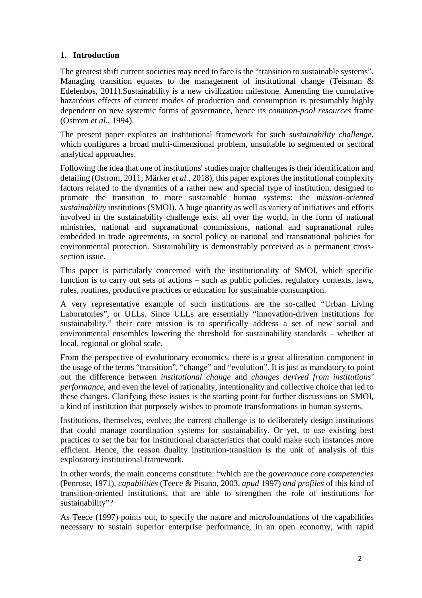# **1. Introduction**

The greatest shift current societies may need to face is the "transition to sustainable systems". Managing transition equates to the management of institutional change (Teisman  $\&$ Edelenbos, 2011).Sustainability is a new civilization milestone. Amending the cumulative hazardous effects of current modes of production and consumption is presumably highly dependent on new systemic forms of governance, hence its *common-pool resources* frame (Ostrom *et al.*, 1994).

The present paper explores an institutional framework for such *sustainability challenge,*  which configures a broad multi-dimensional problem, unsuitable to segmented or sectoral analytical approaches.

Following the idea that one of institutions' studies major challenges is their identification and detailing (Ostrom, 2011; Märker *et al.*, 2018), this paper explores the institutional complexity factors related to the dynamics of a rather new and special type of institution, designed to promote the transition to more sustainable human systems: the *mission-oriented sustainability* institutions (SMOI). A huge quantity as well as variety of initiatives and efforts involved in the sustainability challenge exist all over the world, in the form of national ministries, national and supranational commissions, national and supranational rules embedded in trade agreements, in social policy or national and transnational policies for environmental protection. Sustainability is demonstrably perceived as a permanent crosssection issue.

This paper is particularly concerned with the institutionality of SMOI, which specific function is to carry out sets of actions – such as public policies, regulatory contexts, laws, rules, routines, productive practices or education for sustainable consumption.

A very representative example of such institutions are the so-called "Urban Living Laboratories", or ULLs. Since ULLs are essentially "innovation-driven institutions for sustainability," their core mission is to specifically address a set of new social and environmental ensembles lowering the threshold for sustainability standards – whether at local, regional or global scale.

From the perspective of evolutionary economics, there is a great alliteration component in the usage of the terms "transition", "change" and "evolution". It is just as mandatory to point out the difference between *institutional change* and *changes derived from institutions' performance*, and even the level of rationality, intentionality and collective choice that led to these changes. Clarifying these issues is the starting point for further discussions on SMOI, a kind of institution that purposely wishes to promote transformations in human systems.

Institutions, themselves, evolve; the current challenge is to deliberately design institutions that could manage coordination systems for sustainability. Or yet, to use existing best practices to set the bar for institutional characteristics that could make such instances more efficient. Hence, the reason duality institution-transition is the unit of analysis of this exploratory institutional framework.

In other words, the main concerns constitute: "which are the *governance core competencies*  (Penrose, 1971), *capabilities* (Teece & Pisano, 2003, *apud* 1997) *and profiles* of this kind of transition-oriented institutions*,* that are able to strengthen the role of institutions for sustainability"?

As Teece (1997) points out, to specify the nature and microfoundations of the capabilities necessary to sustain superior enterprise performance, in an open economy, with rapid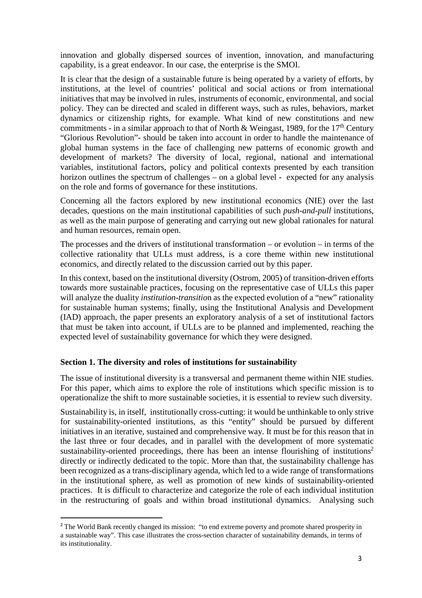innovation and globally dispersed sources of invention, innovation, and manufacturing capability, is a great endeavor. In our case, the enterprise is the SMOI.

It is clear that the design of a sustainable future is being operated by a variety of efforts, by institutions, at the level of countries' political and social actions or from international initiatives that may be involved in rules, instruments of economic, environmental, and social policy. They can be directed and scaled in different ways, such as rules, behaviors, market dynamics or citizenship rights, for example. What kind of new constitutions and new commitments - in a similar approach to that of North & Weingast, 1989, for the 17<sup>th</sup> Century "Glorious Revolution"- should be taken into account in order to handle the maintenance of global human systems in the face of challenging new patterns of economic growth and development of markets? The diversity of local, regional, national and international variables, institutional factors, policy and political contexts presented by each transition horizon outlines the spectrum of challenges – on a global level - expected for any analysis on the role and forms of governance for these institutions.

Concerning all the factors explored by new institutional economics (NIE) over the last decades, questions on the main institutional capabilities of such *push-and-pull* institutions, as well as the main purpose of generating and carrying out new global rationales for natural and human resources, remain open.

The processes and the drivers of institutional transformation – or evolution – in terms of the collective rationality that ULLs must address, is a core theme within new institutional economics, and directly related to the discussion carried out by this paper.

In this context, based on the institutional diversity (Ostrom, 2005) of transition-driven efforts towards more sustainable practices, focusing on the representative case of ULLs this paper will analyze the duality *institution-transitio*n as the expected evolution of a "new" rationality for sustainable human systems; finally, using the Institutional Analysis and Development (IAD) approach, the paper presents an exploratory analysis of a set of institutional factors that must be taken into account, if ULLs are to be planned and implemented, reaching the expected level of sustainability governance for which they were designed.

## **Section 1. The diversity and roles of institutions for sustainability**

 $\overline{a}$ 

The issue of institutional diversity is a transversal and permanent theme within NIE studies. For this paper, which aims to explore the role of institutions which specific mission is to operationalize the shift to more sustainable societies, it is essential to review such diversity.

Sustainability is, in itself, institutionally cross-cutting: it would be unthinkable to only strive for sustainability-oriented institutions, as this "entity" should be pursued by different initiatives in an iterative, sustained and comprehensive way. It must be for this reason that in the last three or four decades, and in parallel with the development of more systematic sustainability-oriented proceedings, there has been an intense flourishing of institutions<sup>2</sup> directly or indirectly dedicated to the topic. More than that, the sustainability challenge has been recognized as a trans-disciplinary agenda, which led to a wide range of transformations in the institutional sphere, as well as promotion of new kinds of sustainability-oriented practices. It is difficult to characterize and categorize the role of each individual institution in the restructuring of goals and within broad institutional dynamics. Analysing such

<sup>&</sup>lt;sup>2</sup> The World Bank recently changed its mission: "to end extreme poverty and promote shared prosperity in a sustainable way". This case illustrates the cross-section character of sustainability demands, in terms of its institutionality.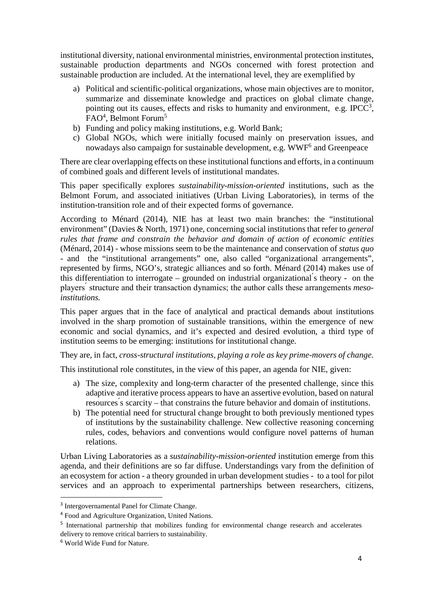institutional diversity, national environmental ministries, environmental protection institutes, sustainable production departments and NGOs concerned with forest protection and sustainable production are included. At the international level, they are exemplified by

- a) Political and scientific-political organizations, whose main objectives are to monitor, summarize and disseminate knowledge and practices on global climate change, pointing out its causes, effects and risks to humanity and environment, e.g. IPCC<sup>3</sup>, FAO<sup>4</sup>, Belmont Forum<sup>5</sup>
- b) Funding and policy making institutions, e.g. World Bank;
- c) Global NGOs, which were initially focused mainly on preservation issues, and nowadays also campaign for sustainable development, e.g. WWF<sup>6</sup> and Greenpeace

There are clear overlapping effects on these institutional functions and efforts, in a continuum of combined goals and different levels of institutional mandates.

This paper specifically explores *sustainability-mission-oriented* institutions, such as the Belmont Forum, and associated initiatives (Urban Living Laboratories), in terms of the institution-transition role and of their expected forms of governance.

According to Ménard (2014), NIE has at least two main branches: the "institutional environment" (Davies & North, 1971) one, concerning social institutions that refer to *general rules that frame and constrain the behavior and domain of action of economic entities* (Ménard, 2014) - whose missions seem to be the maintenance and conservation of *status quo* - and the "institutional arrangements" one, also called "organizational arrangements", represented by firms, NGO's, strategic alliances and so forth. Ménard (2014) makes use of this differentiation to interrogate – grounded on industrial organizational ́s theory - on the players ́ structure and their transaction dynamics; the author calls these arrangements *mesoinstitutions.* 

This paper argues that in the face of analytical and practical demands about institutions involved in the sharp promotion of sustainable transitions, within the emergence of new economic and social dynamics, and it's expected and desired evolution, a third type of institution seems to be emerging: institutions for institutional change.

They are, in fact, *cross-structural institutions, playing a role as key prime-movers of change.* 

This institutional role constitutes, in the view of this paper, an agenda for NIE, given:

- a) The size, complexity and long-term character of the presented challenge, since this adaptive and iterative process appears to have an assertive evolution, based on natural resources ́s scarcity – that constrains the future behavior and domain of institutions.
- b) The potential need for structural change brought to both previously mentioned types of institutions by the sustainability challenge. New collective reasoning concerning rules, codes, behaviors and conventions would configure novel patterns of human relations.

Urban Living Laboratories as a *sustainability-mission-oriented* institution emerge from this agenda, and their definitions are so far diffuse. Understandings vary from the definition of an ecosystem for action - a theory grounded in urban development studies - to a tool for pilot services and an approach to experimental partnerships between researchers, citizens,

<sup>&</sup>lt;sup>3</sup> Intergovernamental Panel for Climate Change.

<sup>4</sup> Food and Agriculture Organization, United Nations.

<sup>&</sup>lt;sup>5</sup> International partnership that mobilizes funding for environmental change research and accelerates delivery to remove critical barriers to sustainability.

<sup>6</sup> World Wide Fund for Nature.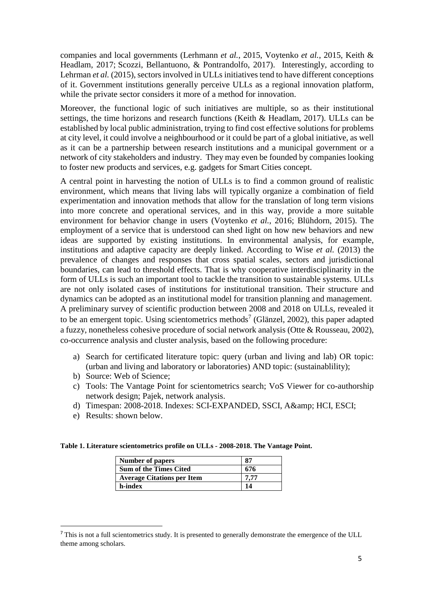companies and local governments (Lerhmann *et al.*, 2015, Voytenko *et al.*, 2015, Keith & Headlam, 2017; Scozzi, Bellantuono, & Pontrandolfo, 2017). Interestingly, according to Lehrman *et al.* (2015), sectors involved in ULLs initiatives tend to have different conceptions of it. Government institutions generally perceive ULLs as a regional innovation platform, while the private sector considers it more of a method for innovation.

Moreover, the functional logic of such initiatives are multiple, so as their institutional settings, the time horizons and research functions (Keith & Headlam, 2017). ULLs can be established by local public administration, trying to find cost effective solutions for problems at city level, it could involve a neighbourhood or it could be part of a global initiative, as well as it can be a partnership between research institutions and a municipal government or a network of city stakeholders and industry. They may even be founded by companies looking to foster new products and services, e.g. gadgets for Smart Cities concept.

A central point in harvesting the notion of ULLs is to find a common ground of realistic environment, which means that living labs will typically organize a combination of field experimentation and innovation methods that allow for the translation of long term visions into more concrete and operational services, and in this way, provide a more suitable environment for behavior change in users (Voytenko *et al.*, 2016; Blühdorn, 2015). The employment of a service that is understood can shed light on how new behaviors and new ideas are supported by existing institutions. In environmental analysis, for example, institutions and adaptive capacity are deeply linked. According to Wise *et al.* (2013) the prevalence of changes and responses that cross spatial scales, sectors and jurisdictional boundaries, can lead to threshold effects. That is why cooperative interdisciplinarity in the form of ULLs is such an important tool to tackle the transition to sustainable systems. ULLs are not only isolated cases of institutions for institutional transition. Their structure and dynamics can be adopted as an institutional model for transition planning and management. A preliminary survey of scientific production between 2008 and 2018 on ULLs, revealed it to be an emergent topic. Using scientometrics methods<sup>7</sup> (Glänzel, 2002), this paper adapted a fuzzy, nonetheless cohesive procedure of social network analysis (Otte & Rousseau, 2002), co-occurrence analysis and cluster analysis, based on the following procedure:

- a) Search for certificated literature topic: query (urban and living and lab) OR topic: (urban and living and laboratory or laboratories) AND topic: (sustainablility);
- b) Source: Web of Science;
- c) Tools: The Vantage Point for scientometrics search; VoS Viewer for co-authorship network design; Pajek, network analysis.
- d) Timespan: 2008-2018. Indexes: SCI-EXPANDED, SSCI, A& HCI, ESCI;
- e) Results: shown below.

**Table 1. Literature scientometrics profile on ULLs - 2008-2018. The Vantage Point.** 

| <b>Number of papers</b>           | 87   |
|-----------------------------------|------|
| <b>Sum of the Times Cited</b>     | 676  |
| <b>Average Citations per Item</b> | 7.77 |
| h-index                           | 14   |

<sup>&</sup>lt;sup>7</sup> This is not a full scientometrics study. It is presented to generally demonstrate the emergence of the ULL theme among scholars.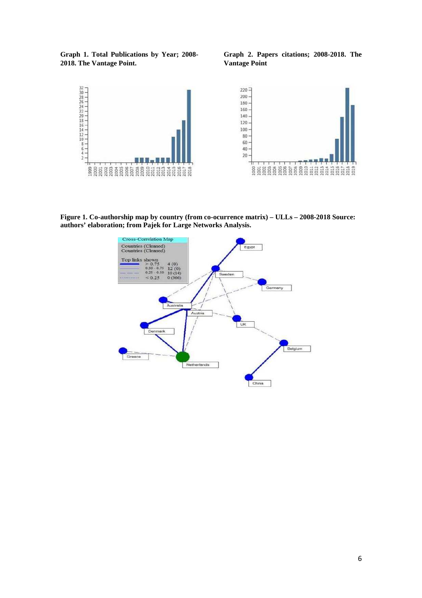**Graph 1. Total Publications by Year; 2008- 2018. The Vantage Point.** 

**Graph 2. Papers citations; 2008-2018. The Vantage Point** 



**Figure 1. Co-authorship map by country (from co-ocurrence matrix) – ULLs – 2008-2018 Source: authors' elaboration; from Pajek for Large Networks Analysis.** 

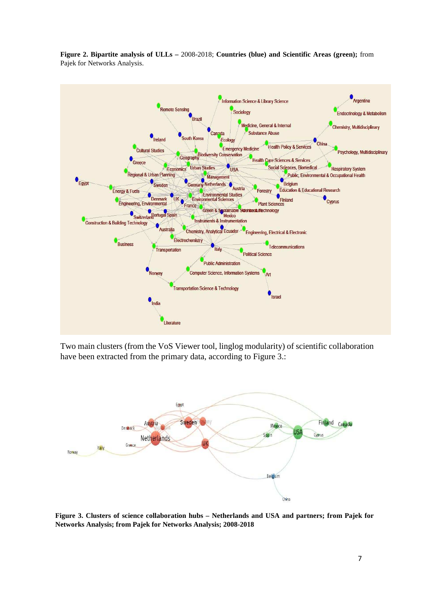

**Figure 2. Bipartite analysis of ULLs –** 2008-2018; **Countries (blue) and Scientific Areas (green);** from Pajek for Networks Analysis.

Two main clusters (from the VoS Viewer tool, linglog modularity) of scientific collaboration have been extracted from the primary data, according to Figure 3.:



**Figure 3. Clusters of science collaboration hubs – Netherlands and USA and partners; from Pajek for Networks Analysis; from Pajek for Networks Analysis; 2008-2018**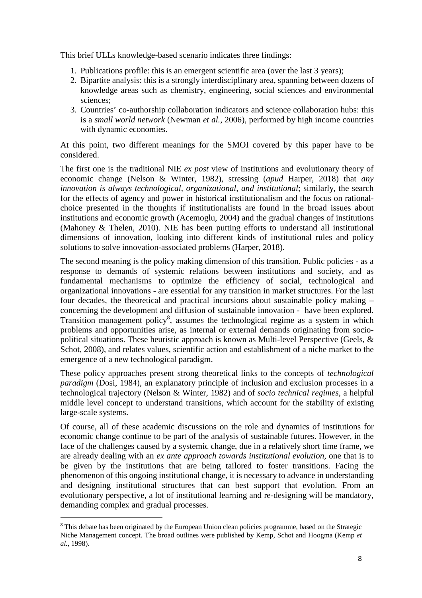This brief ULLs knowledge-based scenario indicates three findings:

- 1. Publications profile: this is an emergent scientific area (over the last 3 years);
- 2. Bipartite analysis: this is a strongly interdisciplinary area, spanning between dozens of knowledge areas such as chemistry, engineering, social sciences and environmental sciences;
- 3. Countries' co-authorship collaboration indicators and science collaboration hubs: this is a *small world network* (Newman *et al.*, 2006), performed by high income countries with dynamic economies.

At this point, two different meanings for the SMOI covered by this paper have to be considered.

The first one is the traditional NIE *ex post* view of institutions and evolutionary theory of economic change (Nelson & Winter, 1982), stressing (*apud* Harper, 2018) that *any innovation is always technological, organizational, and institutional*; similarly, the search for the effects of agency and power in historical institutionalism and the focus on rationalchoice presented in the thoughts if institutionalists are found in the broad issues about institutions and economic growth (Acemoglu, 2004) and the gradual changes of institutions (Mahoney & Thelen, 2010). NIE has been putting efforts to understand all institutional dimensions of innovation, looking into different kinds of institutional rules and policy solutions to solve innovation-associated problems (Harper, 2018).

The second meaning is the policy making dimension of this transition. Public policies - as a response to demands of systemic relations between institutions and society, and as fundamental mechanisms to optimize the efficiency of social, technological and organizational innovations - are essential for any transition in market structures. For the last four decades, the theoretical and practical incursions about sustainable policy making – concerning the development and diffusion of sustainable innovation - have been explored. Transition management policy<sup>8</sup>, assumes the technological regime as a system in which problems and opportunities arise, as internal or external demands originating from sociopolitical situations. These heuristic approach is known as Multi-level Perspective (Geels,  $\&$ Schot, 2008), and relates values, scientific action and establishment of a niche market to the emergence of a new technological paradigm.

These policy approaches present strong theoretical links to the concepts of *technological paradigm* (Dosi, 1984), an explanatory principle of inclusion and exclusion processes in a technological trajectory (Nelson & Winter, 1982) and of *socio technical regimes,* a helpful middle level concept to understand transitions, which account for the stability of existing large-scale systems.

Of course, all of these academic discussions on the role and dynamics of institutions for economic change continue to be part of the analysis of sustainable futures. However, in the face of the challenges caused by a systemic change, due in a relatively short time frame, we are already dealing with an *ex ante approach towards institutional evolution,* one that is to be given by the institutions that are being tailored to foster transitions. Facing the phenomenon of this ongoing institutional change, it is necessary to advance in understanding and designing institutional structures that can best support that evolution. From an evolutionary perspective, a lot of institutional learning and re-designing will be mandatory, demanding complex and gradual processes.

<sup>8</sup> This debate has been originated by the European Union clean policies programme, based on the Strategic Niche Management concept. The broad outlines were published by Kemp, Schot and Hoogma (Kemp *et al.*, 1998).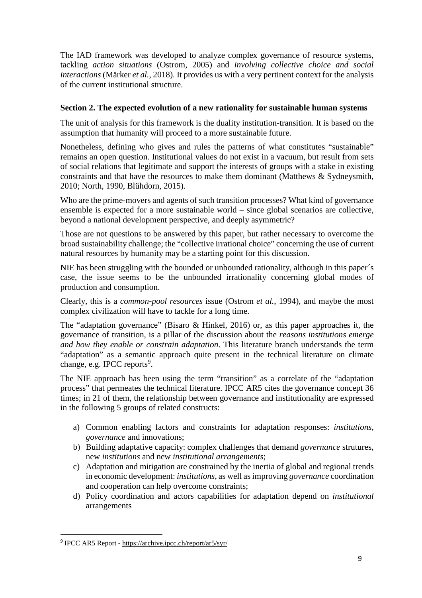The IAD framework was developed to analyze complex governance of resource systems, tackling *action situations* (Ostrom, 2005) and *involving collective choice and social interactions* (Märker *et al.*, 2018). It provides us with a very pertinent context for the analysis of the current institutional structure.

## **Section 2. The expected evolution of a new rationality for sustainable human systems**

The unit of analysis for this framework is the duality institution-transition. It is based on the assumption that humanity will proceed to a more sustainable future.

Nonetheless, defining who gives and rules the patterns of what constitutes "sustainable" remains an open question. Institutional values do not exist in a vacuum, but result from sets of social relations that legitimate and support the interests of groups with a stake in existing constraints and that have the resources to make them dominant (Matthews & Sydneysmith, 2010; North, 1990, Blühdorn, 2015).

Who are the prime-movers and agents of such transition processes? What kind of governance ensemble is expected for a more sustainable world – since global scenarios are collective, beyond a national development perspective, and deeply asymmetric?

Those are not questions to be answered by this paper, but rather necessary to overcome the broad sustainability challenge; the "collective irrational choice" concerning the use of current natural resources by humanity may be a starting point for this discussion.

NIE has been struggling with the bounded or unbounded rationality, although in this paper´s case, the issue seems to be the unbounded irrationality concerning global modes of production and consumption.

Clearly, this is a *common-pool resources* issue (Ostrom *et al.*, 1994), and maybe the most complex civilization will have to tackle for a long time.

The "adaptation governance" (Bisaro & Hinkel, 2016) or, as this paper approaches it, the governance of transition, is a pillar of the discussion about the *reasons institutions emerge and how they enable or constrain adaptation*. This literature branch understands the term "adaptation" as a semantic approach quite present in the technical literature on climate change, e.g. IPCC reports<sup>9</sup>.

The NIE approach has been using the term "transition" as a correlate of the "adaptation process" that permeates the technical literature. IPCC AR5 cites the governance concept 36 times; in 21 of them, the relationship between governance and institutionality are expressed in the following 5 groups of related constructs:

- a) Common enabling factors and constraints for adaptation responses: *institutions, governance* and innovations;
- b) Building adaptative capacity: complex challenges that demand *governance* strutures, new *institutions* and new *institutional arrangements*;
- c) Adaptation and mitigation are constrained by the inertia of global and regional trends in economic development: *institutions*, as well as improving *governance* coordination and cooperation can help overcome constraints;
- d) Policy coordination and actors capabilities for adaptation depend on *institutional*  arrangements

l

<sup>&</sup>lt;sup>9</sup> IPCC AR5 Report - https://archive.ipcc.ch/report/ar5/syr/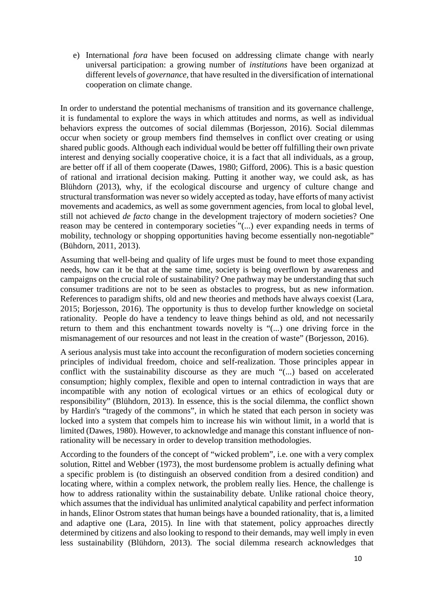e) International *fora* have been focused on addressing climate change with nearly universal participation: a growing number of *institutions* have been organizad at different levels of *governance*, that have resulted in the diversification of international cooperation on climate change.

In order to understand the potential mechanisms of transition and its governance challenge, it is fundamental to explore the ways in which attitudes and norms, as well as individual behaviors express the outcomes of social dilemmas (Borjesson, 2016). Social dilemmas occur when society or group members find themselves in conflict over creating or using shared public goods. Although each individual would be better off fulfilling their own private interest and denying socially cooperative choice, it is a fact that all individuals, as a group, are better off if all of them cooperate (Dawes, 1980; Gifford, 2006). This is a basic question of rational and irrational decision making. Putting it another way, we could ask, as has Blühdorn (2013), why, if the ecological discourse and urgency of culture change and structural transformation was never so widely accepted as today, have efforts of many activist movements and academics, as well as some government agencies, from local to global level, still not achieved *de facto* change in the development trajectory of modern societies? One reason may be centered in contemporary societies "(...) ever expanding needs in terms of mobility, technology or shopping opportunities having become essentially non-negotiable" (Bühdorn, 2011, 2013).

Assuming that well-being and quality of life urges must be found to meet those expanding needs, how can it be that at the same time, society is being overflown by awareness and campaigns on the crucial role of sustainability? One pathway may be understanding that such consumer traditions are not to be seen as obstacles to progress, but as new information. References to paradigm shifts, old and new theories and methods have always coexist (Lara, 2015; Borjesson, 2016). The opportunity is thus to develop further knowledge on societal rationality. People do have a tendency to leave things behind as old, and not necessarily return to them and this enchantment towards novelty is "(...) one driving force in the mismanagement of our resources and not least in the creation of waste" (Borjesson, 2016).

A serious analysis must take into account the reconfiguration of modern societies concerning principles of individual freedom, choice and self-realization. Those principles appear in conflict with the sustainability discourse as they are much "(...) based on accelerated consumption; highly complex, flexible and open to internal contradiction in ways that are incompatible with any notion of ecological virtues or an ethics of ecological duty or responsibility" (Blühdorn, 2013). In essence, this is the social dilemma, the conflict shown by Hardin's "tragedy of the commons", in which he stated that each person in society was locked into a system that compels him to increase his win without limit, in a world that is limited (Dawes, 1980). However, to acknowledge and manage this constant influence of nonrationality will be necessary in order to develop transition methodologies.

According to the founders of the concept of "wicked problem", i.e. one with a very complex solution, Rittel and Webber (1973), the most burdensome problem is actually defining what a specific problem is (to distinguish an observed condition from a desired condition) and locating where, within a complex network, the problem really lies. Hence, the challenge is how to address rationality within the sustainability debate. Unlike rational choice theory, which assumes that the individual has unlimited analytical capability and perfect information in hands, Elinor Ostrom states that human beings have a bounded rationality, that is, a limited and adaptive one (Lara, 2015). In line with that statement, policy approaches directly determined by citizens and also looking to respond to their demands, may well imply in even less sustainability (Blühdorn, 2013). The social dilemma research acknowledges that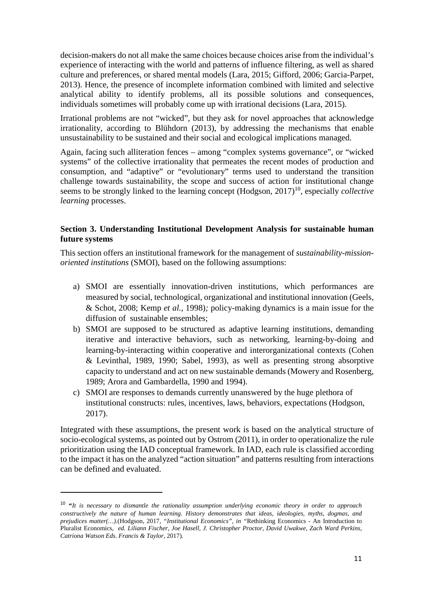decision-makers do not all make the same choices because choices arise from the individual's experience of interacting with the world and patterns of influence filtering, as well as shared culture and preferences, or shared mental models (Lara, 2015; Gifford, 2006; Garcia-Parpet, 2013). Hence, the presence of incomplete information combined with limited and selective analytical ability to identify problems, all its possible solutions and consequences, individuals sometimes will probably come up with irrational decisions (Lara, 2015).

Irrational problems are not "wicked", but they ask for novel approaches that acknowledge irrationality, according to Blühdorn (2013), by addressing the mechanisms that enable unsustainability to be sustained and their social and ecological implications managed.

Again, facing such alliteration fences – among "complex systems governance", or "wicked systems" of the collective irrationality that permeates the recent modes of production and consumption, and "adaptive" or "evolutionary" terms used to understand the transition challenge towards sustainability, the scope and success of action for institutional change seems to be strongly linked to the learning concept (Hodgson, 2017)<sup>10</sup>, especially *collective learning* processes.

### **Section 3. Understanding Institutional Development Analysis for sustainable human future systems**

This section offers an institutional framework for the management of *sustainability-missionoriented institutions* (SMOI), based on the following assumptions:

- a) SMOI are essentially innovation-driven institutions, which performances are measured by social, technological, organizational and institutional innovation (Geels, & Schot, 2008; Kemp *et al.*, 1998)*;* policy-making dynamics is a main issue for the diffusion of sustainable ensembles;
- b) SMOI are supposed to be structured as adaptive learning institutions, demanding iterative and interactive behaviors, such as networking, learning-by-doing and learning-by-interacting within cooperative and interorganizational contexts (Cohen & Levinthal, 1989, 1990; Sabel, 1993), as well as presenting strong absorptive capacity to understand and act on new sustainable demands (Mowery and Rosenberg, 1989; Arora and Gambardella, 1990 and 1994).
- c) SMOI are responses to demands currently unanswered by the huge plethora of institutional constructs: rules, incentives, laws, behaviors, expectations (Hodgson, 2017).

Integrated with these assumptions, the present work is based on the analytical structure of socio-ecological systems, as pointed out by Ostrom (2011), in order to operationalize the rule prioritization using the IAD conceptual framework. In IAD, each rule is classified according to the impact it has on the analyzed "action situation" and patterns resulting from interactions can be defined and evaluated.

<sup>10</sup> **"***It is necessary to dismantle the rationality assumption underlying economic theory in order to approach constructively the nature of human learning. History demonstrates that ideas, ideologies, myths, dogmas, and prejudices matter(…).*(Hodgson, 2017, *"Institutional Economics", in "*Rethinking Economics - An Introduction to Pluralist Economics, *ed. Liliann Fischer, Joe Hasell, J. Christopher Proctor, David Uwakwe, Zach Ward Perkins, Catriona Watson Eds. Francis & Taylor,* 2017).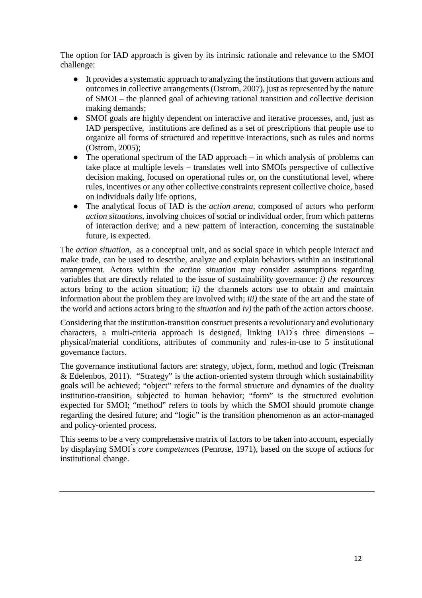The option for IAD approach is given by its intrinsic rationale and relevance to the SMOI challenge:

- It provides a systematic approach to analyzing the institutions that govern actions and outcomes in collective arrangements (Ostrom, 2007), just as represented by the nature of SMOI – the planned goal of achieving rational transition and collective decision making demands;
- SMOI goals are highly dependent on interactive and iterative processes, and, just as IAD perspective, institutions are defined as a set of prescriptions that people use to organize all forms of structured and repetitive interactions, such as rules and norms (Ostrom, 2005);
- $\bullet$  The operational spectrum of the IAD approach in which analysis of problems can take place at multiple levels – translates well into SMOIs perspective of collective decision making, focused on operational rules or, on the constitutional level, where rules, incentives or any other collective constraints represent collective choice, based on individuals daily life options,
- The analytical focus of IAD is the *action arena*, composed of actors who perform *action situations*, involving choices of social or individual order, from which patterns of interaction derive; and a new pattern of interaction, concerning the sustainable future, is expected.

The *action situation,* as a conceptual unit, and as social space in which people interact and make trade, can be used to describe, analyze and explain behaviors within an institutional arrangement. Actors within the *action situation* may consider assumptions regarding variables that are directly related to the issue of sustainability governance: *i) the resources*  actors bring to the action situation; *ii)* the channels actors use to obtain and maintain information about the problem they are involved with; *iii)* the state of the art and the state of the world and actions actors bring to the *situation* and *iv)* the path of the action actors choose.

Considering that the institution-transition construct presents a revolutionary and evolutionary characters, a multi-criteria approach is designed, linking  $IAD$ 's three dimensions – physical/material conditions, attributes of community and rules-in-use to 5 institutional governance factors.

The governance institutional factors are: strategy, object, form, method and logic (Treisman & Edelenbos, 2011). "Strategy" is the action-oriented system through which sustainability goals will be achieved; "object" refers to the formal structure and dynamics of the duality institution-transition, subjected to human behavior; "form" is the structured evolution expected for SMOI; "method" refers to tools by which the SMOI should promote change regarding the desired future; and "logic" is the transition phenomenon as an actor-managed and policy-oriented process.

This seems to be a very comprehensive matrix of factors to be taken into account, especially by displaying SMOI ́s *core competences* (Penrose, 1971), based on the scope of actions for institutional change.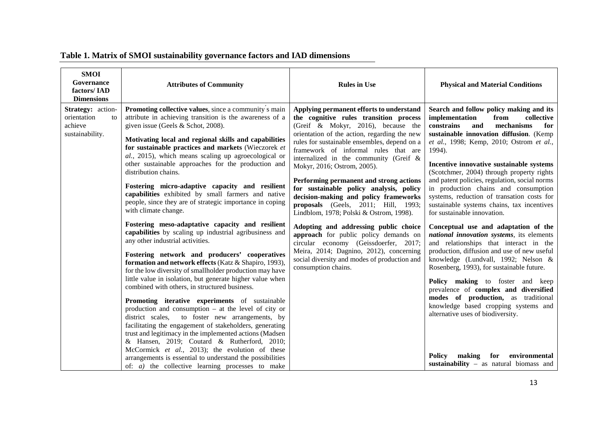| <b>SMOI</b><br>Governance<br>factors/IAD<br><b>Dimensions</b>        | <b>Attributes of Community</b>                                                                                                                                                                                                                                                                                                                                                                                                                                                                                                                                                                                                                                                                                                                                                                                                                                                                                                                   | <b>Rules in Use</b>                                                                                                                                                                                                                                                                                                                                                                                                                                                                                                                                                                                                                                                                                                                                                                                        | <b>Physical and Material Conditions</b>                                                                                                                                                                                                                                                                                                                                                                                                                                                                                                                |
|----------------------------------------------------------------------|--------------------------------------------------------------------------------------------------------------------------------------------------------------------------------------------------------------------------------------------------------------------------------------------------------------------------------------------------------------------------------------------------------------------------------------------------------------------------------------------------------------------------------------------------------------------------------------------------------------------------------------------------------------------------------------------------------------------------------------------------------------------------------------------------------------------------------------------------------------------------------------------------------------------------------------------------|------------------------------------------------------------------------------------------------------------------------------------------------------------------------------------------------------------------------------------------------------------------------------------------------------------------------------------------------------------------------------------------------------------------------------------------------------------------------------------------------------------------------------------------------------------------------------------------------------------------------------------------------------------------------------------------------------------------------------------------------------------------------------------------------------------|--------------------------------------------------------------------------------------------------------------------------------------------------------------------------------------------------------------------------------------------------------------------------------------------------------------------------------------------------------------------------------------------------------------------------------------------------------------------------------------------------------------------------------------------------------|
| Strategy: action-<br>orientation<br>to<br>achieve<br>sustainability. | Promoting collective values, since a community s main<br>attribute in achieving transition is the awareness of a<br>given issue (Geels & Schot, 2008).<br>Motivating local and regional skills and capabilities<br>for sustainable practices and markets (Wieczorek et<br>al., 2015), which means scaling up agroecological or<br>other sustainable approaches for the production and<br>distribution chains.<br>Fostering micro-adaptive capacity and resilient<br>capabilities exhibited by small farmers and native<br>people, since they are of strategic importance in coping<br>with climate change.                                                                                                                                                                                                                                                                                                                                       | Applying permanent efforts to understand<br>the cognitive rules transition process<br>(Greif & Mokyr, 2016), because the<br>orientation of the action, regarding the new<br>rules for sustainable ensembles, depend on a<br>framework of informal rules that are<br>internalized in the community (Greif $\&$<br>Mokyr, 2016; Ostrom, 2005).<br>Performing permanent and strong actions<br>for sustainable policy analysis, policy<br>decision-making and policy frameworks<br>proposals (Geels, 2011; Hill, 1993;<br>Lindblom, 1978; Polski & Ostrom, 1998).<br>Adopting and addressing public choice<br>approach for public policy demands on<br>circular economy (Geissdoerfer, 2017;<br>Meira, 2014; Dagnino, 2012), concerning<br>social diversity and modes of production and<br>consumption chains. | Search and follow policy making and its<br>implementation<br>from<br>collective<br>and<br>constrains<br>mechanisms<br>for<br>sustainable innovation diffusion. (Kemp<br>et al., 1998; Kemp, 2010; Ostrom et al.,<br>1994).<br>Incentive innovative sustainable systems<br>(Scotchmer, 2004) through property rights<br>and patent policies, regulation, social norms<br>in production chains and consumption<br>systems, reduction of transation costs for<br>sustainable systems chains, tax incentives<br>for sustainable innovation.                |
|                                                                      | Fostering meso-adaptative capacity and resilient<br>capabilities by scaling up industrial agribusiness and<br>any other industrial activities.<br>Fostering network and producers' cooperatives<br>formation and network effects (Katz & Shapiro, 1993),<br>for the low diversity of smallholder production may have<br>little value in isolation, but generate higher value when<br>combined with others, in structured business.<br>Promoting iterative experiments of sustainable<br>production and consumption $-$ at the level of city or<br>district scales,<br>to foster new arrangements, by<br>facilitating the engagement of stakeholders, generating<br>trust and legitimacy in the implemented actions (Madsen<br>& Hansen, 2019; Coutard & Rutherford, 2010;<br>McCormick et al., 2013); the evolution of these<br>arrangements is essential to understand the possibilities<br>of: $a$ ) the collective learning processes to make |                                                                                                                                                                                                                                                                                                                                                                                                                                                                                                                                                                                                                                                                                                                                                                                                            | Conceptual use and adaptation of the<br>national innovation systems, its elements<br>and relationships that interact in the<br>production, diffusion and use of new useful<br>knowledge (Lundvall, 1992; Nelson &<br>Rosenberg, 1993), for sustainable future.<br>Policy making to foster and keep<br>prevalence of complex and diversified<br>modes of production, as traditional<br>knowledge based cropping systems and<br>alternative uses of biodiversity.<br>environmental<br>making<br>for<br>Policy<br>sustainability - as natural biomass and |

 $\overline{\phantom{a}}$ 

# **Table 1. Matrix of SMOI sustainability governance factors and IAD dimensions**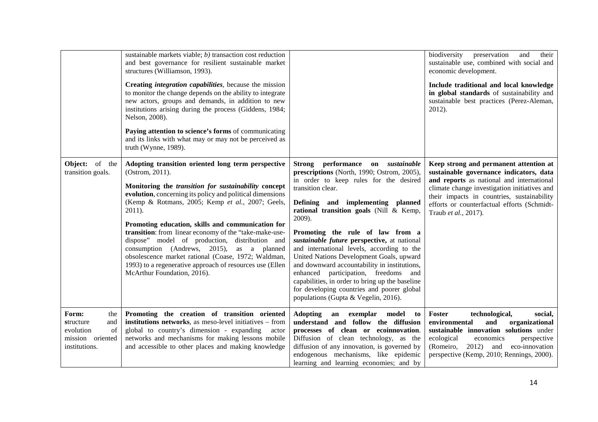|                                                                                          | sustainable markets viable; $b$ ) transaction cost reduction<br>and best governance for resilient sustainable market<br>structures (Williamson, 1993).<br>Creating integration capabilities, because the mission<br>to monitor the change depends on the ability to integrate<br>new actors, groups and demands, in addition to new<br>institutions arising during the process (Giddens, 1984;<br>Nelson, 2008).<br>Paying attention to science's forms of communicating<br>and its links with what may or may not be perceived as<br>truth (Wynne, 1989).                                                               |                                                                                                                                                                                                                                                                                                                                                                                                                                                                                                                                                                                                                                                        | and<br>their<br>biodiversity<br>preservation<br>sustainable use, combined with social and<br>economic development.<br>Include traditional and local knowledge<br>in global standards of sustainability and<br>sustainable best practices (Perez-Aleman,<br>2012).                                   |
|------------------------------------------------------------------------------------------|--------------------------------------------------------------------------------------------------------------------------------------------------------------------------------------------------------------------------------------------------------------------------------------------------------------------------------------------------------------------------------------------------------------------------------------------------------------------------------------------------------------------------------------------------------------------------------------------------------------------------|--------------------------------------------------------------------------------------------------------------------------------------------------------------------------------------------------------------------------------------------------------------------------------------------------------------------------------------------------------------------------------------------------------------------------------------------------------------------------------------------------------------------------------------------------------------------------------------------------------------------------------------------------------|-----------------------------------------------------------------------------------------------------------------------------------------------------------------------------------------------------------------------------------------------------------------------------------------------------|
| Object: of<br>the<br>transition goals.                                                   | Adopting transition oriented long term perspective<br>(Ostrom, 2011).<br>Monitoring the transition for sustainability concept<br>evolution, concerning its policy and political dimensions<br>(Kemp & Rotmans, 2005; Kemp et al., 2007; Geels,<br>2011).<br>Promoting education, skills and communication for<br>transition: from linear economy of the "take-make-use-<br>dispose" model of production, distribution and<br>consumption (Andrews, 2015), as a planned<br>obsolescence market rational (Coase, 1972; Waldman,<br>1993) to a regenerative approach of resources use (Ellen<br>McArthur Foundation, 2016). | Strong performance on sustainable<br>prescriptions (North, 1990; Ostrom, 2005),<br>in order to keep rules for the desired<br>transition clear.<br>Defining and implementing planned<br>rational transition goals (Nill & Kemp,<br>2009).<br>Promoting the rule of law from a<br>sustainable future perspective, at national<br>and international levels, according to the<br>United Nations Development Goals, upward<br>and downward accountability in institutions,<br>enhanced participation, freedoms and<br>capabilities, in order to bring up the baseline<br>for developing countries and poorer global<br>populations (Gupta & Vegelin, 2016). | Keep strong and permanent attention at<br>sustainable governance indicators, data<br>and reports as national and international<br>climate change investigation initiatives and<br>their impacts in countries, sustainability<br>efforts or counterfactual efforts (Schmidt-<br>Traub et al., 2017). |
| Form:<br>the<br>and<br>structure<br>of<br>evolution<br>mission oriented<br>institutions. | Promoting the creation of transition oriented<br>institutions networks, as meso-level initiatives - from<br>global to country's dimension - expanding<br>actor<br>networks and mechanisms for making lessons mobile<br>and accessible to other places and making knowledge                                                                                                                                                                                                                                                                                                                                               | <b>Adopting</b><br>an exemplar model<br>to<br>understand and follow the diffusion<br>processes of clean or ecoinnovation.<br>Diffusion of clean technology, as the<br>diffusion of any innovation, is governed by<br>endogenous mechanisms, like epidemic<br>learning and learning economies; and by                                                                                                                                                                                                                                                                                                                                                   | Foster<br>technological,<br>social,<br>and<br>organizational<br>environmental<br>sustainable innovation solutions under<br>ecological<br>economics<br>perspective<br>2012) and eco-innovation<br>(Romeiro,<br>perspective (Kemp, 2010; Rennings, 2000).                                             |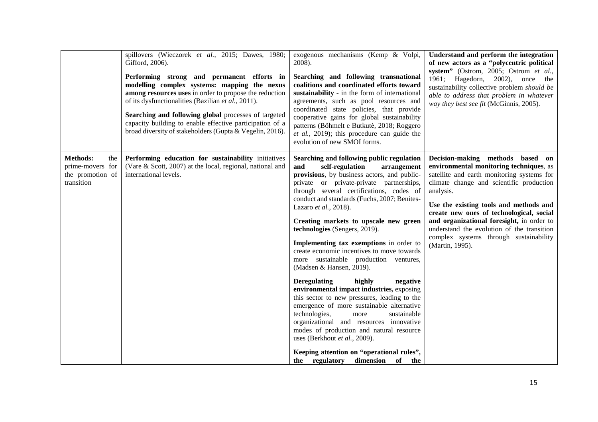|                                                                              | spillovers (Wieczorek et al., 2015; Dawes, 1980;<br>Gifford, 2006).<br>Performing strong and permanent efforts in<br>modelling complex systems: mapping the nexus<br>among resources uses in order to propose the reduction<br>of its dysfunctionalities (Bazilian et al., 2011).<br>Searching and following global processes of targeted<br>capacity building to enable effective participation of a<br>broad diversity of stakeholders (Gupta & Vegelin, 2016). | exogenous mechanisms (Kemp & Volpi,<br>2008).<br>Searching and following transnational<br>coalitions and coordinated efforts toward<br>sustainability - in the form of international<br>agreements, such as pool resources and<br>coordinated state policies, that provide<br>cooperative gains for global sustainability<br>patterns (Böhmelt e Butkutė, 2018; Roggero<br>et al., 2019); this procedure can guide the<br>evolution of new SMOI forms.                                                                                                                                                                                                                                                                                                                                                                                                                                                                                                                            | Understand and perform the integration<br>of new actors as a "polycentric political<br>system" (Ostrom, 2005; Ostrom et al.,<br>1961; Hagedorn, 2002), once the<br>sustainability collective problem should be<br>able to address that problem in whatever<br>way they best see fit (McGinnis, 2005).                                                                                                                            |
|------------------------------------------------------------------------------|-------------------------------------------------------------------------------------------------------------------------------------------------------------------------------------------------------------------------------------------------------------------------------------------------------------------------------------------------------------------------------------------------------------------------------------------------------------------|-----------------------------------------------------------------------------------------------------------------------------------------------------------------------------------------------------------------------------------------------------------------------------------------------------------------------------------------------------------------------------------------------------------------------------------------------------------------------------------------------------------------------------------------------------------------------------------------------------------------------------------------------------------------------------------------------------------------------------------------------------------------------------------------------------------------------------------------------------------------------------------------------------------------------------------------------------------------------------------|----------------------------------------------------------------------------------------------------------------------------------------------------------------------------------------------------------------------------------------------------------------------------------------------------------------------------------------------------------------------------------------------------------------------------------|
| <b>Methods:</b><br>the<br>prime-movers for<br>the promotion of<br>transition | Performing education for sustainability initiatives<br>(Vare $\&$ Scott, 2007) at the local, regional, national and<br>international levels.                                                                                                                                                                                                                                                                                                                      | Searching and following public regulation<br>and<br>self-regulation<br>arrangement<br>provisions, by business actors, and public-<br>private or private-private partnerships,<br>through several certifications, codes of<br>conduct and standards (Fuchs, 2007; Benites-<br>Lazaro et al., 2018).<br>Creating markets to upscale new green<br>technologies (Sengers, 2019).<br>Implementing tax exemptions in order to<br>create economic incentives to move towards<br>more sustainable production ventures,<br>(Madsen & Hansen, 2019).<br><b>Deregulating</b><br>highly<br>negative<br>environmental impact industries, exposing<br>this sector to new pressures, leading to the<br>emergence of more sustainable alternative<br>technologies,<br>sustainable<br>more<br>organizational and resources innovative<br>modes of production and natural resource<br>uses (Berkhout et al., 2009).<br>Keeping attention on "operational rules",<br>the regulatory dimension of the | Decision-making methods based on<br>environmental monitoring techniques, as<br>satellite and earth monitoring systems for<br>climate change and scientific production<br>analysis.<br>Use the existing tools and methods and<br>create new ones of technological, social<br>and organizational foresight, in order to<br>understand the evolution of the transition<br>complex systems through sustainability<br>(Martin, 1995). |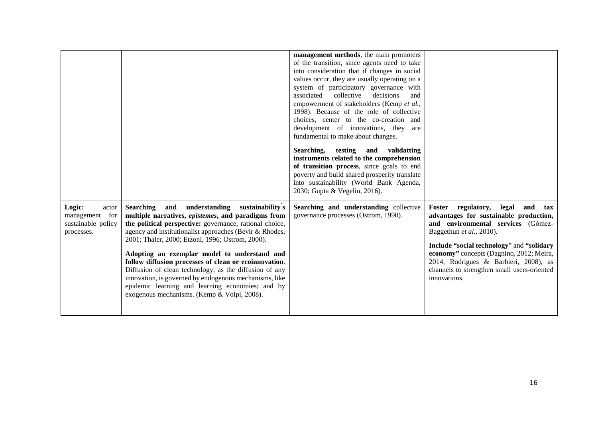|                                                                          |                                                                                                                                                                                                                                                                                                                                                                                                                                                                                                                                                                                                              | management methods, the main promoters<br>of the transition, since agents need to take<br>into consideration that if changes in social<br>values occur, they are usually operating on a<br>system of participatory governance with<br>associated<br>collective<br>decisions<br>and<br>empowerment of stakeholders (Kemp et al.,<br>1998). Because of the role of collective<br>choices, center to the co-creation and<br>development of innovations, they<br>are<br>fundamental to make about changes.<br>Searching, testing and<br>validatting<br>instruments related to the comprehension<br>of transition process, since goals to end<br>poverty and build shared prosperity translate<br>into sustainability (World Bank Agenda,<br>2030; Gupta & Vegelin, 2016). |                                                                                                                                                                                                                                                                                                                                               |
|--------------------------------------------------------------------------|--------------------------------------------------------------------------------------------------------------------------------------------------------------------------------------------------------------------------------------------------------------------------------------------------------------------------------------------------------------------------------------------------------------------------------------------------------------------------------------------------------------------------------------------------------------------------------------------------------------|-----------------------------------------------------------------------------------------------------------------------------------------------------------------------------------------------------------------------------------------------------------------------------------------------------------------------------------------------------------------------------------------------------------------------------------------------------------------------------------------------------------------------------------------------------------------------------------------------------------------------------------------------------------------------------------------------------------------------------------------------------------------------|-----------------------------------------------------------------------------------------------------------------------------------------------------------------------------------------------------------------------------------------------------------------------------------------------------------------------------------------------|
| Logic:<br>actor<br>for<br>management<br>sustainable policy<br>processes. | Searching and understanding sustainability's<br>multiple narratives, epistemes, and paradigms from<br>the political perspective: governance, rational choice,<br>agency and institutionalist approaches (Bevir & Rhodes,<br>2001; Thaler, 2000; Etzoni, 1996; Ostrom, 2000).<br>Adopting an exemplar model to understand and<br>follow diffusion processes of clean or ecoinnovation.<br>Diffusion of clean technology, as the diffusion of any<br>innovation, is governed by endogenous mechanisms, like<br>epidemic learning and learning economies; and by<br>exogenous mechanisms. (Kemp & Volpi, 2008). | Searching and understanding collective<br>governance processes (Ostrom, 1990).                                                                                                                                                                                                                                                                                                                                                                                                                                                                                                                                                                                                                                                                                        | Foster regulatory, legal and tax<br>advantages for sustainable production,<br>and environmental services (Gómez-<br>Baggethun et al., 2010).<br>Include "social technology" and "solidary<br>economy" concepts (Dagnino, 2012; Meira,<br>2014, Rodrigues & Barbieri, 2008), as<br>channels to strengthen small users-oriented<br>innovations. |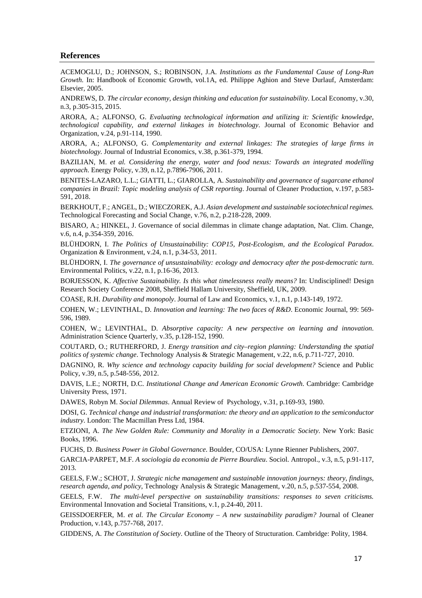#### **References**

ACEMOGLU, D.; JOHNSON, S.; ROBINSON, J.A. *Institutions as the Fundamental Cause of Long-Run Growth.* In: Handbook of Economic Growth, vol.1A, ed. Philippe Aghion and Steve Durlauf, Amsterdam: Elsevier, 2005.

ANDREWS, D. *The circular economy, design thinking and education for sustainability*. Local Economy, v.30, n.3, p.305-315, 2015.

ARORA, A.; ALFONSO, G. *Evaluating technological information and utilizing it: Scientific knowledge, technological capability, and external linkages in biotechnology*. Journal of Economic Behavior and Organization, v.24, p.91-114, 1990.

ARORA, A.; ALFONSO, G. *Complementarity and external linkages: The strategies of large firms in biotechnology.* Journal of Industrial Economics, v.38, p.361-379, 1994.

BAZILIAN, M. *et al. Considering the energy, water and food nexus: Towards an integrated modelling approach*. Energy Policy, v.39, n.12, p.7896-7906, 2011.

BENITES-LAZARO, L.L.; GIATTI, L.; GIAROLLA, A. *Sustainability and governance of sugarcane ethanol companies in Brazil: Topic modeling analysis of CSR reporting*. Journal of Cleaner Production, v.197, p.583- 591, 2018.

BERKHOUT, F.; ANGEL, D.; WIECZOREK, A.J. *Asian development and sustainable sociotechnical regimes.* Technological Forecasting and Social Change, v.76, n.2, p.218-228, 2009.

BISARO, A.; HINKEL, J. Governance of social dilemmas in climate change adaptation, Nat. Clim. Change, v.6, n.4, p.354-359, 2016.

BLÜHDORN, I. *The Politics of Unsustainability: COP15, Post-Ecologism, and the Ecological Paradox*. Organization & Environment, v.24, n.1, p.34-53, 2011.

BLÜHDORN, I. *The governance of unsustainability: ecology and democracy after the post-democratic turn*. Environmental Politics, v.22, n.1, p.16-36, 2013.

BORJESSON, K. *Affective Sustainability. Is this what timelessness really means?* In: Undisciplined! Design Research Society Conference 2008, Sheffield Hallam University, Sheffield, UK, 2009.

COASE, R.H. *Durability and monopoly*. Journal of Law and Economics, v.1, n.1, p.143-149, 1972.

COHEN, W.; LEVINTHAL, D. *Innovation and learning: The two faces of R&D*. Economic Journal, 99: 569- 596, 1989.

COHEN, W.; LEVINTHAL, D. *Absorptive capacity: A new perspective on learning and innovation*. Administration Science Quarterly, v.35, p.128-152, 1990.

COUTARD, O.; RUTHERFORD, J. *Energy transition and city–region planning: Understanding the spatial politics of systemic change*. Technology Analysis & Strategic Management, v.22, n.6, p.711-727, 2010.

DAGNINO, R. *Why science and technology capacity building for social development?* Science and Public Policy, v.39, n.5, p.548-556, 2012.

DAVIS, L.E.; NORTH, D.C. *Institutional Change and American Economic Growth*. Cambridge: Cambridge University Press, 1971.

DAWES, Robyn M. *Social Dilemmas*. Annual Review of Psychology, v.31, p.169-93, 1980.

DOSI, G. *Technical change and industrial transformation: the theory and an application to the semiconductor industry*. London: The Macmillan Press Ltd, 1984.

ETZIONI, A. *The New Golden Rule: Community and Morality in a Democratic Society*. New York: Basic Books, 1996.

FUCHS, D. *Business Power in Global Governance*. Boulder, CO/USA: Lynne Rienner Publishers, 2007.

GARCIA-PARPET, M.F. *A sociologia da economia de Pierre Bourdieu*. Sociol. Antropol., v.3, n.5, p.91-117, 2013.

GEELS, F.W.; SCHOT, J. *Strategic niche management and sustainable innovation journeys: theory, findings, research agenda, and policy*, Technology Analysis & Strategic Management, v.20, n.5, p.537-554, 2008.

GEELS, F.W. *The multi-level perspective on sustainability transitions: responses to seven criticisms.* Environmental Innovation and Societal Transitions, v.1, p.24-40, 2011.

GEISSDOERFER, M. *et al. The Circular Economy – A new sustainability paradigm?* Journal of Cleaner Production, v.143, p.757-768, 2017.

GIDDENS, A. *The Constitution of Society*. Outline of the Theory of Structuration. Cambridge: Polity, 1984.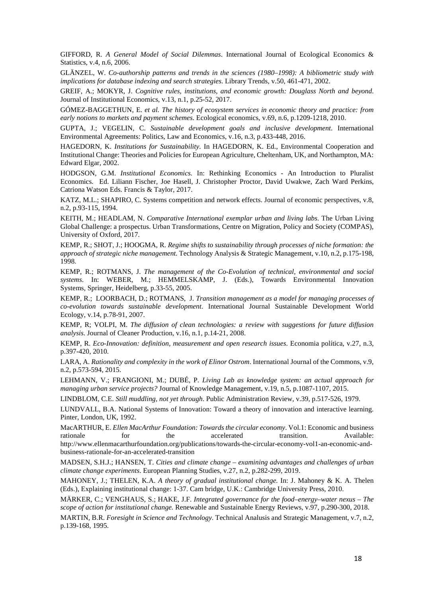GIFFORD, R. *A General Model of Social Dilemmas*. International Journal of Ecological Economics & Statistics, v.4, n.6, 2006.

GLÄNZEL, W. *Co-authorship patterns and trends in the sciences (1980–1998): A bibliometric study with implications for database indexing and search strategies*. Library Trends, v.50, 461-471, 2002.

GREIF, A.; MOKYR, J. *Cognitive rules, institutions, and economic growth: Douglass North and beyond*. Journal of Institutional Economics, v.13, n.1, p.25-52, 2017.

GÓMEZ-BAGGETHUN, E. *et al. The history of ecosystem services in economic theory and practice: from early notions to markets and payment schemes*. Ecological economics, v.69, n.6, p.1209-1218, 2010.

GUPTA, J.; VEGELIN, C. *Sustainable development goals and inclusive development*. International Environmental Agreements: Politics, Law and Economics, v.16, n.3, p.433-448, 2016.

HAGEDORN, K. *Institutions for Sustainability*. In HAGEDORN, K. Ed., Environmental Cooperation and Institutional Change: Theories and Policies for European Agriculture, Cheltenham, UK, and Northampton, MA: Edward Elgar, 2002.

HODGSON, G.M. *Institutional Economics.* In: Rethinking Economics - An Introduction to Pluralist Economics. Ed. Liliann Fischer, Joe Hasell, J. Christopher Proctor, David Uwakwe, Zach Ward Perkins, Catriona Watson Eds. Francis & Taylor, 2017.

KATZ, M.L.; SHAPIRO, C. Systems competition and network effects. Journal of economic perspectives, v.8, n.2, p.93-115, 1994.

KEITH, M.; HEADLAM, N. *Comparative International exemplar urban and living labs*. The Urban Living Global Challenge: a prospectus. Urban Transformations, Centre on Migration, Policy and Society (COMPAS), University of Oxford, 2017.

KEMP, R.; SHOT, J.; HOOGMA, R. *Regime shifts to sustainability through processes of niche formation: the approach of strategic niche management.* Technology Analysis & Strategic Management, v.10, n.2, p.175-198, 1998.

KEMP, R.; ROTMANS, J. *The management of the Co-Evolution of technical, environmental and social systems*. In: WEBER, M.; HEMMELSKAMP, J. (Eds.), Towards Environmental Innovation Systems, Springer, Heidelberg, p.33-55, 2005.

KEMP, R.; LOORBACH, D.; ROTMANS, J. *Transition management as a model for managing processes of co-evolution towards sustainable development*. International Journal Sustainable Development World Ecology, v.14, p.78-91, 2007.

KEMP, R; VOLPI, M. *The diffusion of clean technologies: a review with suggestions for future diffusion analysis*. Journal of Cleaner Production, v.16, n.1, p.14-21, 2008.

KEMP, R. *Eco-Innovation: definition, measurement and open research issues*. Economia política, v.27, n.3, p.397-420, 2010.

LARA, A. *Rationality and complexity in the work of Elinor Ostrom*. International Journal of the Commons, v.9, n.2, p.573-594, 2015.

LEHMANN, V.; FRANGIONI, M.; DUBÉ, P. *Living Lab as knowledge system: an actual approach for managing urban service projects?* Journal of Knowledge Management, v.19, n.5, p.1087-1107, 2015.

LINDBLOM, C.E. *Still muddling, not yet through*. Public Administration Review, v.39, p.517-526, 1979.

LUNDVALL, B.A. National Systems of Innovation: Toward a theory of innovation and interactive learning. Pinter, London, UK, 1992.

MacARTHUR, E. *Ellen MacArthur Foundation: Towards the circular economy*. Vol.1: Economic and business rationale for the accelerated transition. Available: http://www.ellenmacarthurfoundation.org/publications/towards-the-circular-economy-vol1-an-economic-andbusiness-rationale-for-an-accelerated-transition

MADSEN, S.H.J.; HANSEN, T. *Cities and climate change – examining advantages and challenges of urban climate change experiments*. European Planning Studies, v.27, n.2, p.282-299, 2019.

MAHONEY, J.; THELEN, K.A. *A theory of gradual institutional change*. In: J. Mahoney & K. A. Thelen (Eds.), Explaining institutional change: 1-37. Cam bridge, U.K.: Cambridge University Press, 2010.

MÄRKER, C.; VENGHAUS, S.; HAKE, J.F. *Integrated governance for the food–energy–water nexus – The scope of action for institutional change.* Renewable and Sustainable Energy Reviews, v.97, p.290-300, 2018.

MARTIN, B.R. *Foresight in Science and Technology*. Technical Analusis and Strategic Management, v.7, n.2, p.139-168, 1995.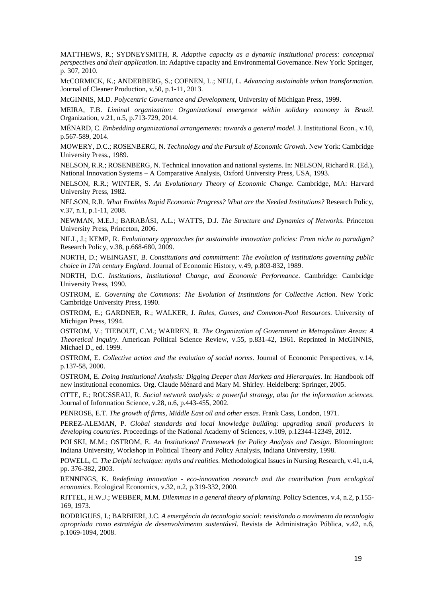MATTHEWS, R.; SYDNEYSMITH, R. *Adaptive capacity as a dynamic institutional process: conceptual perspectives and their application*. In: Adaptive capacity and Environmental Governance. New York: Springer, p. 307, 2010.

McCORMICK, K.; ANDERBERG, S.; COENEN, L.; NEIJ, L. *Advancing sustainable urban transformation.*  Journal of Cleaner Production, v.50, p.1-11, 2013.

McGINNIS, M.D. *Polycentric Governance and Development*, University of Michigan Press, 1999.

MEIRA, F.B. *Liminal organization: Organizational emergence within solidary economy in Brazil*. Organization, v.21, n.5, p.713-729, 2014.

MÉNARD, C. *Embedding organizational arrangements: towards a general model.* J. Institutional Econ., v.10, p.567-589, 2014.

MOWERY, D.C.; ROSENBERG, N. *Technology and the Pursuit of Economic Growth*. New York: Cambridge University Press., 1989.

NELSON, R.R.; ROSENBERG, N. Technical innovation and national systems. In: NELSON, Richard R. (Ed.), National Innovation Systems – A Comparative Analysis, Oxford University Press, USA, 1993.

NELSON, R.R.; WINTER, S. *An Evolutionary Theory of Economic Change*. Cambridge, MA: Harvard University Press, 1982.

NELSON, R.R. *What Enables Rapid Economic Progress? What are the Needed Institutions?* Research Policy, v.37, n.1, p.1-11, 2008.

NEWMAN, M.E.J.; BARABÁSI, A.L.; WATTS, D.J. *The Structure and Dynamics of Networks*. Princeton University Press, Princeton, 2006.

NILL, J.; KEMP, R. *Evolutionary approaches for sustainable innovation policies: From niche to paradigm?* Research Policy, v.38, p.668-680, 2009.

NORTH, D.; WEINGAST, B. *Constitutions and commitment: The evolution of institutions governing public choice in 17th century England*. Journal of Economic History, v.49, p.803-832, 1989.

NORTH, D.C. *Institutions, Institutional Change, and Economic Performance*. Cambridge: Cambridge University Press, 1990.

OSTROM, E. *Governing the Commons: The Evolution of Institutions for Collective Action*. New York: Cambridge University Press, 1990.

OSTROM, E.; GARDNER, R.; WALKER, J. *Rules, Games, and Common-Pool Resources*. University of Michigan Press, 1994.

OSTROM, V.; TIEBOUT, C.M.; WARREN, R. *The Organization of Government in Metropolitan Areas: A Theoretical Inquiry*. American Political Science Review, v.55, p.831-42, 1961. Reprinted in McGINNIS, Michael D., ed. 1999.

OSTROM, E. *Collective action and the evolution of social norms*. Journal of Economic Perspectives, v.14, p.137-58, 2000.

OSTROM, E. *Doing Institutional Analysis: Digging Deeper than Markets and Hierarquies*. In: Handbook off new institutional economics. Org. Claude Ménard and Mary M. Shirley. Heidelberg: Springer, 2005.

OTTE, E.; ROUSSEAU, R. *Social network analysis: a powerful strategy, also for the information sciences*. Journal of Information Science, v.28, n.6, p.443-455, 2002.

PENROSE, E.T. *The growth of firms, Middle East oil and other essas*. Frank Cass, London, 1971.

PEREZ-ALEMAN, P. *Global standards and local knowledge building: upgrading small producers in developing countries*. Proceedings of the National Academy of Sciences, v.109, p.12344-12349, 2012.

POLSKI, M.M.; OSTROM, E. *An Institutional Framework for Policy Analysis and Design.* Bloomington: Indiana University, Workshop in Political Theory and Policy Analysis, Indiana University, 1998.

POWELL, C. *The Delphi technique: myths and realities*. Methodological Issues in Nursing Research, v.41, n.4, pp. 376-382, 2003.

RENNINGS, K. *Redefining innovation - eco-innovation research and the contribution from ecological economics*. Ecological Economics, v.32, n.2, p.319-332, 2000.

RITTEL, H.W.J.; WEBBER, M.M. *Dilemmas in a general theory of planning*. Policy Sciences, v.4, n.2, p.155- 169, 1973.

RODRIGUES, I.; BARBIERI, J.C. *A emergência da tecnologia social: revisitando o movimento da tecnologia apropriada como estratégia de desenvolvimento sustentável*. Revista de Administração Pública, v.42, n.6, p.1069-1094, 2008.